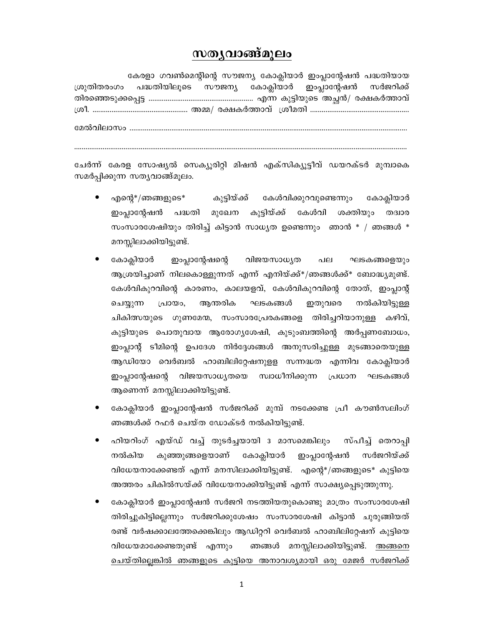## സതൃവാങ്ങ്മൂലം

| കേരളാ ഗവൺമെന്റിന്റെ സൗജന്യ കോക്ലിയാർ ഇംപ്ലാന്റേഷൻ പദ്ധതിയായ      |  |  |
|------------------------------------------------------------------|--|--|
| ശ്രുതിതരംഗം പദ്ധതിയിലൂടെ സൗജന്യ കോക്ലിയാർ ഇംപ്ലാന്റേഷൻ സർജറിക്ക് |  |  |
|                                                                  |  |  |
|                                                                  |  |  |
|                                                                  |  |  |

ചേർന്ന് കേരള സോഷ്യൽ സെക്യൂരിറ്റി മിഷൻ എക്സിക്യൂട്ടീവ് ഡയറക്ടർ മുമ്പാകെ സമർപ്പിക്കുന്ന സത്യവാങ്ങ്മൂലം.

- എന്റെ $^{*}/$ ഞങ്ങളുടെ $^{*}$ കുട്ടിയ്ക്ക് കേൾവിക്കുറവുണ്ടെന്നും കോക്ലിയാർ കുട്ടിയ്ക്ക് കേൾവി ഇംപ്ലാന്റേഷൻ പദ്ധതി മുഖേന ശക്തിയും തദ്വാര സംസാരശേഷിയും തിരിച്ച് കിട്ടാൻ സാധ്യത ഉണ്ടെന്നും ഞാൻ  $*$  / ഞങ്ങൾ  $*$ മനസ്സിലാക്കിയിട്ടുണ്ട്.
- കോക്ലിയാർ ഇംപ്ലാന്റേഷന്റെ വിജയസാധ്യത പല ഘടകങ്ങളെയും ആശ്രയിച്ചാണ് നിലകൊള്ളുന്നത് എന്ന് എനിയ്ക്ക്\*/ഞങ്ങൾക്ക്\* ബോദ്ധ്യമുണ്ട്. കേൾവികുറവിന്റെ കാരണം, കാലയളവ്, കേൾവികുറവിന്റെ തോത്, ഇംപ്പാന്റ് ചെയ്യുന്ന പ്രായം, ആന്തരിക ഘടകങ്ങൾ ഇതുവരെ നൽകിയിട്ടുള്ള ചികിത്സയുടെ ഗുണമേന്മ, സംസാരപ്രേരകങ്ങളെ തിരിച്ചറിയാനുള്ള കഴിവ്, കുട്ടിയുടെ പൊതുവായ ആരോഗ്യശേഷി, കുടുംബത്തിന്റെ അർപ്പണബോധം, ഇംപ്ലാന്റ് ടീമിന്റെ ഉപദേശ നിർദ്ദേശങ്ങൾ അനുസരിച്ചുള്ള മുടങ്ങാതെയുള്ള ആഡിയോ വെർബൽ ഹാബിലിറ്റേഷനുളള സന്നദ്ധത എന്നിവ കോക്ലിയാർ ഇംപ്ലാന്റേഷന്റെ വിജയസാധ്യതയെ സ്വാധീനിക്കുന്ന പ്രധാന ഘടകങ്ങൾ ആണെന്ന് മനസ്സിലാക്കിയിട്ടുണ്ട്.
- കോക്ലിയാർ ഇംപ്ലാന്റേഷൻ സർജറിക്ക് മുമ്പ് നടക്കേണ്ട പ്രീ കൗൺസലിംഗ് ഞങ്ങൾക്ക് റഫർ ചെയ്ത ഡോക്ടർ നൽകിയിട്ടുണ്ട്.
- ഹിയറിംഗ് എയ്ഡ് വച്ച് തുടർച്ചയായി 3 മാസമെങ്കിലും സ്പീച്ച് തെറാപ്പി നൽകിയ കുഞ്ഞുങ്ങളെയാണ് കോക്ലിയാർ ഇംപ്ലാന്റേഷൻ സർജറിയ്ക്ക് വിധേയനാക്കേണ്ടത് എന്ന് മനസിലാക്കിയിട്ടുണ്ട്. എന്റെ\*/ഞങ്ങളുടെ\* കുട്ടിയെ അത്തരം ചികിൽസയ്ക്ക് വിധേയനാക്കിയിട്ടുണ്ട് എന്ന് സാക്ഷ്യപ്പെടുത്തുന്നു.
- കോക്ലിയാർ ഇംപ്ലാന്റേഷൻ സർജറി നടത്തിയതുകൊണ്ടു മാത്രം സംസാരശേഷി തിരിച്ചുകിട്ടില്ലെന്നും സർജറിക്കുശേഷം സംസാരശേഷി കിട്ടാൻ ചുരുങ്ങിയത് രണ്ട് വർഷക്കാലത്തേക്കെങ്കിലും ആഡിറ്ററി വെർബൽ ഹാബിലിറ്റേഷന് കുട്ടിയെ വിധേയമാക്കേണ്ടതുണ്ട് എന്നും ഞങ്ങൾ മനസ്സിലാക്കിയിട്ടുണ്ട്. <u>അങ്ങന</u>െ ചെയ്തില്ലെങ്കിൽ ഞങ്ങളുടെ കുട്ടിയെ അനാവശ്യമായി ഒരു മേജർ സർജറിക്ക്

 $\mathbf{1}$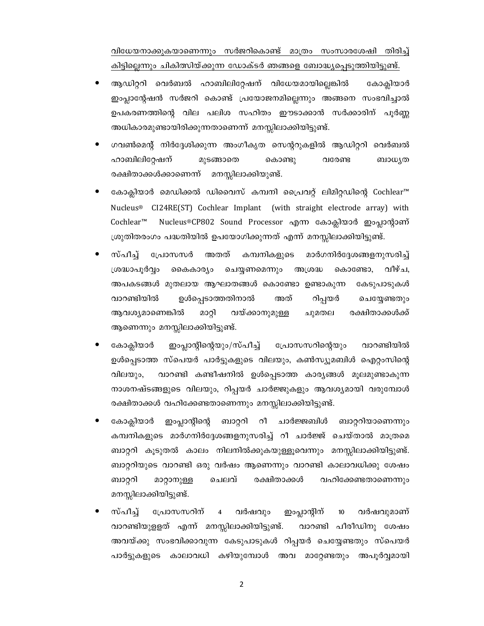വിധേയനാക്കുകയാണെന്നും സർജറികൊണ്ട് മാത്രം സംസാരശേഷി തിരിച്ച് കിട്ടില്ലെന്നും ചികിത്സിയ്ക്കുന്ന ഡോക്ടർ ഞങ്ങളെ ബോദ്ധ്യപ്പെടുത്തിയിട്ടുണ്ട്.

- ആഡിറ്ററി വെർബൽ ഹാബിലിറ്റേഷന് വിധേയമായില്ലെങ്കിൽ കോകിയാർ ഇംപ്ലാന്റേഷൻ സർജറി കൊണ്ട് പ്രയോജനമില്ലെന്നും അങ്ങനെ സംഭവിച്ചാൽ ഉപകരണത്തിന്റെ വില പലിശ സഹിതം ഈടാക്കാൻ സർക്കാരിന് പൂർണ്ണ അധികാരമുണ്ടായിരിക്കുന്നതാണെന്ന് മനസ്സിലാക്കിയിട്ടുണ്ട്.
- ഗവൺമെന്റ് നിർദ്ദേശിക്കുന്ന അംഗീകൃത സെന്ററുകളിൽ ആഡിറ്ററി വെർബൽ ഹാബിലിറ്റേഷന് മുടങ്ങാതെ കൊണ്ടു വരേണ്ട ബാധ്യത രക്ഷിതാക്കൾക്കാണെന്ന് മനസ്സിലാക്കിയുണ്ട്.
- കോക്ലിയാർ മെഡിക്കൽ ഡിവൈസ് കമ്പനി പ്രൈവറ്റ് ലിമിറ്റഡിന്റെ Cochlear™ Nucleus® CI24RE(ST) Cochlear Implant (with straight electrode array) with Cochlear™ Nucleus®CP802 Sound Processor എന്ന കോക്ലിയാർ ഇംപ്ലാന്റാണ് ശ്രുതിതരംഗം പദ്ധതിയിൽ ഉപയോഗിക്കുന്നത് എന്ന് മനസ്സിലാക്കിയിട്ടുണ്ട്.
- സ്പീച്ച് പ്രോസസർ അതത് കമ്പനികളുടെ മാർഗനിർദ്ദേശങ്ങളനുസരിച്ച് ശ്രദ്ധാപൂർവ്വം കൈകാര്യം ചെയ്യണമെന്നും അശ്രദ്ധ കൊണ്ടോ, വീഴ്ച. അപകടങ്ങൾ മുതലായ ആഘാതങ്ങൾ കൊണ്ടോ ഉണ്ടാകുന്ന കേടുപാടുകൾ വാറണ്ടിയിൽ ഉൾപ്പെടാത്തതിനാൽ അത് റിപ്പയർ ചെയ്യേണ്ടതും വയ്ക്കാനുമുള്ള ആവശ്യമാണെങ്കിൽ മാറ്റി ചുമതല രക്ഷിതാക്കൾക്ക് ആണെന്നും മനസ്സിലാക്കിയിട്ടുണ്ട്.
- കോക്ലിയാർ ഇംപ്ലാന്റിന്റെയും/സ്പീച്ച് പ്രോസസറിന്റെയും വാറണ്ടിയിൽ ഉൾപ്പെടാത്ത സ്പെയർ പാർട്ടുകളുടെ വിലയും, കൺസ്യൂമബിൾ ഐറ്റംസിന്റെ വാറണ്ടി കണ്ടീഷനിൽ ഉൾപ്പെടാത്ത കാര്യങ്ങൾ മൂലമുണ്ടാകുന്ന വിലയും, നാശനഷ്ടങ്ങളുടെ വിലയും, റിപ്പയർ ചാർജ്ജുകളും ആവശ്യമായി വരുമ്പോൾ രക്ഷിതാക്കൾ വഹിക്കേണ്ടതാണെന്നും മനസ്സിലാക്കിയിട്ടുണ്ട്.
- കോക്ലിയാർ ഇംപ്ലാന്റിന്റെ ബാറ്ററി റീ ചാർജ്ജബിൾ ബാറ്ററിയാണെന്നും കമ്പനികളുടെ മാർഗനിർദ്ദേശങ്ങളനുസരിച്ച് റീ ചാർജ്ജ് ചെയ്താൽ മാത്രമെ ബാറ്ററി കുടുതൽ കാലം നിലനിൽക്കുകയുള്ളുവെന്നും മനസ്സിലാക്കിയിട്ടുണ്ട്. ബാറ്ററിയുടെ വാറണ്ടി ഒരു വർഷം ആണെന്നും വാറണ്ടി കാലാവധിക്കു ശേഷം ബാറ്ററി മാറ്റാനുള്ള ചെലവ് രക്ഷിതാക്കൾ വഹിക്കേണ്ടതാണെന്നും മനസ്സിലാക്കിയിട്ടുണ്ട്.
- സ്പീച് പ്രോസസറിന്  $\overline{\mathbf{4}}$ വർഷവും ഇംപ്ലാന്റീന്  $10$ വർഷവുമാണ് വാറണ്ടിയുള്ളത് എന്ന് മനസ്സിലാക്കിയിട്ടുണ്ട്. വാറണ്ടി പീരീഡിനു ശേഷം അവയ്ക്കു സംഭവിക്കാവുന്ന കേടുപാടുകൾ റിപ്പയർ ചെയ്യേണ്ടതും സ്പെയർ പാർട്ടുകളുടെ കാലാവധി കഴിയുമ്പോൾ അവ മാറ്റേണ്ടതും അപൂർവ്വമായി

 $\overline{2}$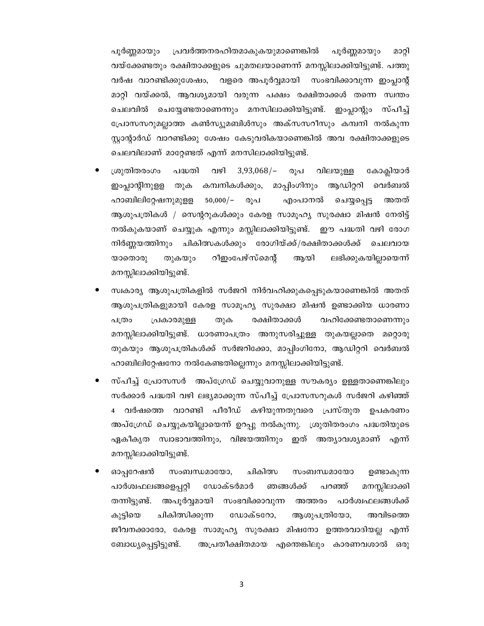പ്രവർത്തനരഹിതമാകുകയുമാണെങ്കിൽ പൂർണ്ണമായും പൂർണ്ണമായും മാറ്റി വയ്ക്കേണ്ടതും രക്ഷിതാക്കളുടെ ചുമതലയാണെന്ന് മനസ്സിലാക്കിയിട്ടുണ്ട്. പത്തു വർഷ വാറണ്ടിക്കുശേഷം, വളരെ അപൂർവ്വമായി സംഭവിക്കാവുന്ന ഇംപ്ലാന്റ് മാറ്റി വയ്ക്കൽ, ആവശ്യമായി വരുന്ന പക്ഷം രക്ഷിതാക്കൾ തന്നെ സ്വന്തം ചെലവിൽ ചെയ്യേണ്ടതാണെന്നും മനസിലാക്കിയിട്ടുണ്ട്. ഇംപ്ലാന്റും സ്പീച്ച് പ്രോസസറുമല്ലാത്ത കൺസ്യുമബിൾസും അക്സസറീസും കമ്പനി നൽകുന്ന സ്ലാന്റാർഡ് വാറണ്ടിക്കു ശേഷം കേടുവരികയാണെങ്കിൽ അവ രക്ഷിതാക്കളുടെ ചെലവിലാണ് മാറ്റേണ്ടത് എന്ന് മനസിലാക്കിയിട്ടുണ്ട്.

- $3,93,068/-$ ശ്രുതിതരംഗം പദ്ധതി വഴി രൂപ കോക്ലിയാർ വിലയുള്ള കമ്പനികൾക്കും, മാപ്പിംഗിനും ആഡിറ്ററി വെർബൽ ഇംപ്ലാന്റീനുളള തുക എംപാനൽ ഹാബിലിറ്റേഷനുമുള്ള  $50,000/-$ രൂപ അതത് ചെയ്യപ്പെട്ട ആശുപത്രികൾ / സെന്ററുകൾക്കും കേരള സാമൂഹ്യ സുരക്ഷാ മിഷൻ നേരിട്ട് നൽകുകയാണ് ചെയ്യുക എന്നും മസ്സിലാക്കിയിട്ടുണ്ട്. ഈ പദ്ധതി വഴി രോഗ നിർണ്ണയത്തിനും ചികിത്സകൾക്കും രോഗിയ്ക്ക്/രക്ഷിതാക്കൾക്ക് ചെലവായ റീഇംപേഴ്സ്മെന്റ് ലഭിക്കുകയില്ലായെന്ന് യാതൊരു തുകയും ആയി മനസ്സിലാക്കിയിട്ടുണ്ട്.
- സ്വകാര്യ ആശുപത്രികളിൽ സർജറി നിർവഹിക്കുകപ്പെടുകയാണെങ്കിൽ അതത് ആശുപത്രികളുമായി കേരള സാമൂഹ്യ സുരക്ഷാ മിഷൻ ഉണ്ടാക്കിയ ധാരണാ രക്ഷിതാക്കൾ വഹിക്കേണ്ടതാണെന്നും പത്രം പ്രകാരമുള്ള തുക മനസ്സിലാക്കിയിട്ടുണ്ട്. ധാരണാപത്രം അനുസരിച്ചുള്ള തുകയല്ലാതെ മറ്റൊരു തുകയും ആശുപത്രികൾക്ക് സർജറിക്കോ, മാപ്പിംഗിനോ, ആഡിറ്ററി വെർബൽ ഹാബിലിറ്റേഷനോ നൽകേണ്ടതില്ലെന്നും മനസ്സിലാക്കിയിട്ടുണ്ട്.
- സ്പീച്ച് പ്രോസസർ അപ്ഗ്രേഡ് ചെയ്യുവാനുള്ള സൗകര്യം ഉള്ളതാണെങ്കിലും സർക്കാർ പദ്ധതി വഴി ലഭ്യമാക്കുന്ന സ്പീച്ച് പ്രോസസറുകൾ സർജറി കഴിഞ്ഞ് 4 വർഷത്തെ വാറണ്ടി പീരീഡ് കഴിയുന്നതുവരെ പ്രസ്തുത ഉപകരണം അപ്ഗ്രേഡ് ചെയ്യുകയില്ലായെന്ന് ഉറപ്പു നൽകുന്നു. ശുതിതരംഗം പദ്ധതിയുടെ ഏകീകൃത സ്വാഭാവത്തിനും, വിജയത്തിനും ഇത് അത്യാവശ്യമാണ് എന്ന് മനസ്സിലാക്കിയിട്ടുണ്ട്.
- ഓപ്പറേഷൻ സംബന്ധമായോ, ചികിത്സ സംബന്ധമായോ ഉണ്ടാകുന്ന പാർശ്വഫലങ്ങളെപ്പറ്റി ഡോക്ടർമാർ ഞങ്ങൾക്ക് പറഞ്ഞ് മനസ്സിലാക്കി തന്നിട്ടുണ്ട്. അപൂർവ്വമായി സംഭവിക്കാവുന്ന അത്തരം പാർശ്വഫലങ്ങൾക്ക് കുട്ടിയെ ചികിത്സിക്കുന്ന ഡോക്ടറോ, ആശുപത്രിയോ, അവിടത്തെ ജീവനക്കാരോ, കേരള സാമൂഹ്യ സുരക്ഷാ മിഷനോ ഉത്തരവാദിയല്ല എന്ന് ബോധ്യപ്പെട്ടിട്ടുണ്ട്. അപ്രതീക്ഷിതമായ എന്തെങ്കിലും കാരണവശാൽ ഒരു

 $\overline{3}$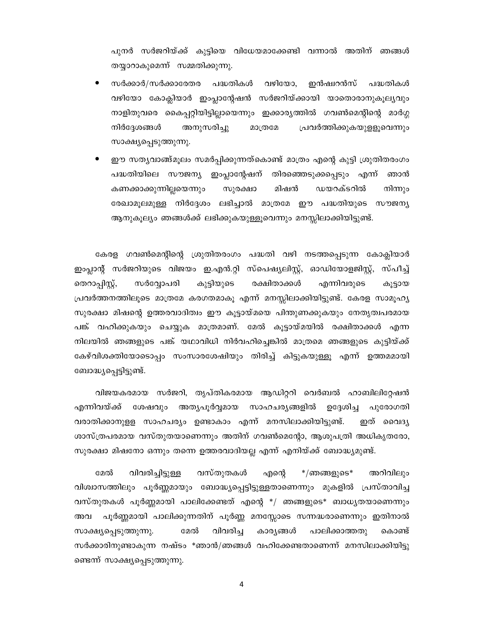പുനർ സർജറിയ്ക്ക് കുട്ടിയെ വിധേയമാക്കേണ്ടി വന്നാൽ അതിന് ഞങ്ങൾ തയ്യാറാകുമെന്ന് സമ്മതിക്കുന്നു.

- പദ്ധതികൾ വഴിയോ. സർക്കാർ/സർക്കാരേതര ഇൻഷ്വറൻസ് പദ്ധതികൾ വഴിയോ കോക്ലിയാർ ഇംപ്ലാന്റേഷൻ സർജറിയ്ക്കായി യാതൊരാനുകൂല്യവും നാളിതുവരെ കൈപ്പറ്റിയിട്ടില്ലായെന്നും ഇക്കാര്യത്തിൽ ഗവൺമെന്റിന്റെ മാർഗ്ഗ നിർദ്ദേശങ്ങൾ അനുസരിച്ചു മാത്രമേ പ്രവർത്തിക്കുകയുളളൂവെന്നും സാക്ഷ്യപ്പെടുത്തുന്നു.
- ഈ സതൃവാങ്ങ്മൂലം സമർപ്പിക്കുന്നത്കൊണ്ട് മാത്രം എന്റെ കുട്ടി ശ്രുതിതരംഗം പദ്ധതിയിലെ സൗജന്യ ഇംപ്ലാന്റേഷന് തിരഞ്ഞെടുക്കപ്പെടും എന്ന് ഞാൻ നിന്നും കണക്കാക്കുന്നില്ലയെന്നും സുരക്ഷാ മിഷൻ ഡയറക്ടറിൽ രേഖാമൂലമുള്ള നിർദ്ദേശം ലഭിച്ചാൽ മാത്രമേ ഈ പദ്ധതിയുടെ സൗജന്യ ആനുകൂല്യം ഞങ്ങൾക്ക് ലഭിക്കുകയുള്ളൂവെന്നും മനസ്സിലാക്കിയിട്ടുണ്ട്.

കേരള ഗവൺമെന്റിന്റെ ശ്രുതിതരംഗം പദ്ധതി വഴി നടത്തപ്പെടുന്ന കോക്ലിയാർ ഇംപ്ലാന്റ് സർജറിയുടെ വിജയം ഇ.എൻ.റ്റി സ്പെഷ്യലിസ്റ്റ്, ഓഡിയോളജിസ്റ്റ്, സ്പീച്ച് എന്നിവരുടെ തെറാപ്പിസ്റ്റ്, കുട്ടിയുടെ രക്ഷിതാക്കൾ സർവ്വോപരി കൂട്ടായ പ്രവർത്തനത്തിലൂടെ മാത്രമേ കരഗതമാകൂ എന്ന് മനസ്സിലാക്കിയിട്ടുണ്ട്. കേരള സാമൂഹ്യ സുരക്ഷാ മിഷന്റെ ഉത്തരവാദിത്വം ഈ കൂട്ടായ്മയെ പിന്തുണക്കുകയും നേതൃത്വപരമായ പങ്ക് വഹിക്കുകയും ചെയ്യുക മാത്രമാണ്. മേൽ കൂട്ടായ്മയിൽ രക്ഷിതാക്കൾ എന്ന നിലയിൽ ഞങ്ങളുടെ പങ്ക് യഥാവിധി നിർവഹിച്ചെങ്കിൽ മാത്രമെ ഞങ്ങളുടെ കുട്ടിയ്ക്ക് കേഴ്വിശക്തിയോടൊപ്പം സംസാരശേഷിയും തിരിച്ച് കിട്ടുകയുള്ളൂ എന്ന് ഉത്തമമായി ബോദ്ധ്യപ്പെട്ടിട്ടുണ്ട്.

വിജയകരമായ സർജറി, തൃപ്തികരമായ ആഡിറ്ററി വെർബൽ ഹാബിലിറ്റേഷൻ എന്നിവയ്ക്ക് ശേഷവും അത്യപൂർവ്വമായ സാഹചര്യങ്ങളിൽ ഉദ്ദേശിച്ച പുരോഗതി വരാതിക്കാനുളള സാഹചര്യം ഉണ്ടാകാം എന്ന് മനസിലാക്കിയിട്ടുണ്ട്. ഇത് വൈദൃ ശാസ്ത്രപരമായ വസ്തുതയാണെന്നും അതിന് ഗവൺമെന്റോ, ആശുപത്രി അധികൃതരോ, സുരക്ഷാ മിഷനോ ഒന്നും തന്നെ ഉത്തരവാദിയല്ല എന്ന് എനിയ്ക്ക് ബോദ്ധ്യമുണ്ട്.

മേൽ വിവരിച്ചിട്ടുള്ള വസ്തുതകൾ എന്റെ  $*$ /ഞങ്ങളുടെ $*$ അറിവിലും വിശ്വാസത്തിലും പൂർണ്ണമായും ബോദ്ധ്യപ്പെട്ടിട്ടുള്ളതാണെന്നും മുകളിൽ പ്രസ്താവിച്ച വസ്തുതകൾ പൂർണ്ണമായി പാലിക്കേണ്ടത് എന്റെ \*/ ഞങ്ങളുടെ\* ബാധൃതയാണെന്നും പൂർണ്ണമായി പാലിക്കുന്നതിന് പൂർണ്ണ മനസ്സോടെ സന്നദ്ധരാണെന്നും ഇതിനാൽ അവ വിവരിച്ച കാര്യങ്ങൾ മേൽ പാലിക്കാത്തതു സാക്ഷ്യപ്പെടുത്തുന്നു. കൊണ്ട് സർക്കാരിനുണ്ടാകുന്ന നഷ്ടം \*ഞാൻ/ഞങ്ങൾ വഹിക്കേണ്ടതാണെന്ന് മനസിലാക്കിയിട്ടു ണ്ടെന്ന് സാക്ഷ്യപ്പെടുത്തുന്നു.

 $\overline{4}$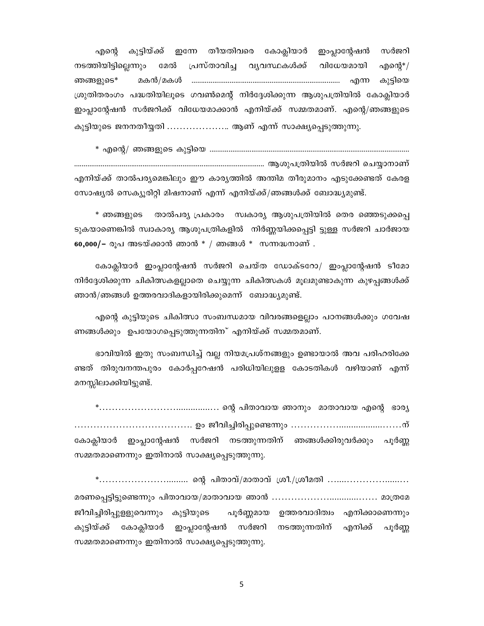തീയതിവരെ കോക്ലിയാർ ഇംപ്ലാന്റേഷൻ സർജറി എന്റെ കുട്ടിയ്ക്ക് ഇന്നേ മേൽ പ്രസ്താവിച്ച വൃവസ്ഥകൾക്ക് വിധേയമായി നടത്തിയിട്ടില്ലെന്നും എന്റെ $^*/$ മകൻ/മകൾ ഞങ്ങളുടെ\* കുട്ടിയെ ശ്രുതിതരംഗം പദ്ധതിയിലൂടെ ഗവൺമെന്റ് നിർദ്ദേശിക്കുന്ന ആശുപത്രിയിൽ കോക്ലിയാർ ഇംപ്ലാന്റേഷൻ സർജറിക്ക് വിധേയമാക്കാൻ എനിയ്ക്ക് സമ്മതമാണ്. എന്റെ/ഞങ്ങളുടെ കുട്ടിയുടെ ജനനതീയ്യതി ..................... ആണ് എന്ന് സാക്ഷ്യപ്പെടുത്തുന്നു.

എനിയ്ക്ക് താൽപര്യമെങ്കിലും ഈ കാര്യത്തിൽ അന്തിമ തീരുമാനം എടുക്കേണ്ടത് കേരള സോഷ്യൽ സെക്യൂരിറ്റി മിഷനാണ് എന്ന് എനിയ്ക്ക്/ഞങ്ങൾക്ക് ബോദ്ധ്യമുണ്ട്.

താൽപര്യ പ്രകാരം – സ്വകാര്യ ആശുപത്രിയിൽ തെര ഞ്ഞെടുക്കപ്പെ \* ഞങ്ങളുടെ ടുകയാണെങ്കിൽ സ്വാകാര്യ ആശുപത്രികളിൽ നിർണ്ണയിക്കപ്പെട്ടി ട്ടുള്ള സർജറി ചാർജായ  $60,000/$ – രൂപ അടയ്ക്കാൻ ഞാൻ \* / ഞങ്ങൾ \* സന്നദ്ധനാണ് .

കോക്ലിയാർ ഇംപ്ലാന്റേഷൻ സർജറി ചെയ്ത ഡോക്ടറോ/ ഇംപ്ലാന്റേഷൻ ടീമോ നിർദ്ദേശിക്കുന്ന ചികിത്സകളല്ലാതെ ചെയ്യുന്ന ചികിത്സകൾ മൂലമുണ്ടാകുന്ന കുഴപ്പങ്ങൾക്ക് ഞാൻ/ഞങ്ങൾ ഉത്തരവാദികളായിരിക്കുമെന്ന് ബോദ്ധ്യമുണ്ട്.

എന്റെ കുട്ടിയുടെ ചികിത്സാ സംബന്ധമായ വിവരങ്ങളെല്ലാം പഠനങ്ങൾക്കും ഗവേഷ ണങ്ങൾക്കും ഉപയോഗപ്പെടുത്തുന്നതിന് എനിയ്ക്ക് സമ്മതമാണ്.

ഭാവിയിൽ ഇതു സംബന്ധിച്ച് വല്ല നിയമപ്രശ്നങ്ങളും ഉണ്ടായാൽ അവ പരിഹരിക്കേ ണ്ടത് തിരുവനന്തപുരം കോർപ്പറേഷൻ പരിധിയിലുളള കോടതികൾ വഴിയാണ് എന്ന് മനസ്സിലാക്കിയിട്ടുണ്ട്.

ഇംപ്ലാന്റേഷൻ സർജറി നടത്തുന്നതിന് ഞങ്ങൾക്കിരുവർക്കും പൂർണ്ണ കോക്ലിയാർ സമ്മതമാണെന്നും ഇതിനാൽ സാക്ഷ്യപ്പെടുത്തുന്നു.

\*............................... ഒന്റ പിതാവ്/മാതാവ് ശ്രീ./ശ്രീമതി ........................... ജീവിച്ചിരിപ്പുളളുവെന്നും കുട്ടിയുടെ പൂർണ്ണമായ ഉത്തരവാദിത്വം എനിക്കാണെന്നും കോക്ലിയാർ ഇംപ്ലാന്റേഷൻ സർജറി പൂർണ്ണ കുട്ടിയ്ക്ക് നടത്തുന്നതിന് എനിക്ക് സമ്മതമാണെന്നും ഇതിനാൽ സാക്ഷ്യപ്പെടുത്തുന്നു.

5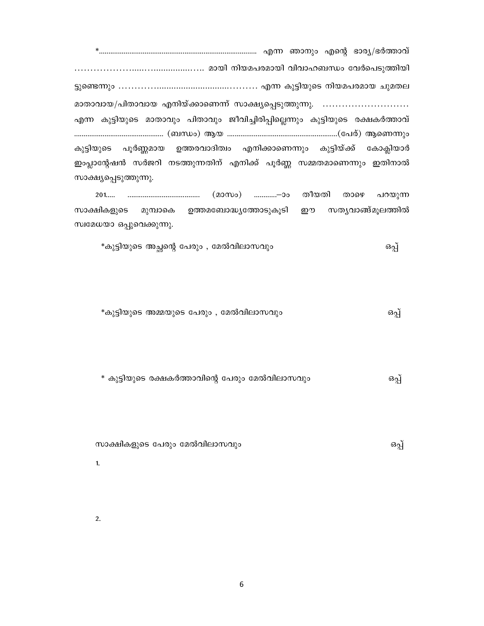മാതാവായ/പിതാവായ എനിയ്ക്കാണെന്ന് സാക്ഷ്യപ്പെടുത്തുന്നു. .......................... എന്ന കുട്ടിയുടെ മാതാവും പിതാവും ജീവിച്ചിരിപ്പില്ലെന്നും കുട്ടിയുടെ രക്ഷകർത്താവ് കുട്ടിയുടെ പൂർണ്ണമായ ഉത്തരവാദിത്വം എനിക്കാണെന്നും കുട്ടിയ്ക്ക് കോക്ലിയാർ ഇംപ്ലാന്റേഷൻ സർജറി നടത്തുന്നതിന് എനിക്ക് പൂർണ്ണ സമ്മതമാണെന്നും ഇതിനാൽ സാക്ഷ്യപ്പെടുത്തുന്നു.

താഴെ പറയുന്ന സാക്ഷികളുടെ മുമ്പാകെ ഉത്തമബോദ്ധ്യത്തോടുകൂടി ഈ സത്യവാങ്ങ്മുലത്തിൽ സ്വമേധയാ ഒപ്പുവെക്കുന്നു.

\*കുട്ടിയുടെ അമ്മയുടെ പേരും , മേൽവിലാസവും ഒപ്പ്

\* കുട്ടിയുടെ രക്ഷകർത്താവിന്റെ പേരും മേൽവിലാസവും ഒപ്പ്

സാക്ഷികളുടെ പേരും മേൽവിലാസവും ഒപ്പ്

 $1.$ 

 $2.$